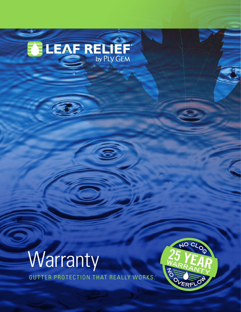# **BUEAF RELIEF**



GUTTER PROTECTION THAT REALLY WORKS. ®

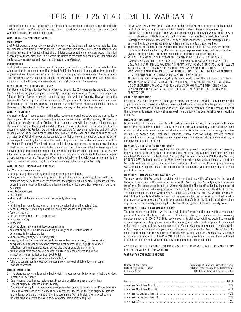# REGISTERED 25 -YEAR LIMITED WARRANTY

Leaf Relief manufactures Leaf Relief® (the "Product") in accordance with high standards and tight quality controls. The Product will not rust, burn, support combustion, split or crack due to cold weather because it is made of aluminum.

#### **WHAT DOES THIS WARRANTY COVER?**

#### **Manufacture**

Leaf Relief warrants to you, the owner of the property at the time the Product was installed, that the Product is free from defects in material and workmanship in the course of manufacture, and that the finish on the Product will not chip or blister under conditions of ordinary wear, if installed according to our specifications. This Warranty is limited to the terms and conditions, exclusions and limitations, requirements and legal rights stated in this Warranty.

#### **Performance**

Leaf Relief warrants to you, the owner of the property at the time the Product was installed, that when installed in the manner specified by Leaf Relief, the Product will keep gutters from becoming clogged and overflowing as a result of the interior of the gutter or downspouts filling with debris such as leaves, twigs, needles, or seeds. This Warranty is limited to the terms and conditions, exclusions and limitations, requirements and legal rights stated in this Warranty.

#### **HOW LONG DOES THE COVERAGE LAST?**

This Registered 25-Year Limited Warranty lasts for twenty-five (25) years on the property on which the Product was originally applied ("Property") so long as you own the Property. This Registered 25-Year Limited Warranty may be transferred one time with the Property. However, upon the transfer, the Warranty period will be no more than 25 years from the date of original installation of the Product on the Property, prorated in accordance with the Warranty Coverage Schedule below. In the event of a transfer of this Warranty, this Warranty may not be further transferred.

#### **WHAT WILL WE DO?**

You must notify us in accordance with the notice requirements outlined below, and we must validate the complaint. Upon the notification and validation, we will undertake the following; If there is a defect in the manufacture of the Product, at our sole option, we will either repair, replace or refund the purchase price of the originally installed Product found to be defective (in the event that we choose to replace the Product, we will only be responsible for providing materials, and will not be responsible for the cost of labor to install new Product). In the event the Product fails to perform as stated, Leaf Relief will cover the reasonable cost of labor to clear any obstructions in the gutter or downspout caused by the failure of the Product to perform as warranted, and repair or replace the Product if required. We will not be responsible for any cost or expense to clear any blockage or obstruction which is determined to be below grade. Our obligations under this Warranty will in no event exceed the purchase price of the originally installed Product found to be defective. Any additional costs and expenses beyond these amounts are your responsibility. In the event of repair or replacement under this Warranty, the Warranty applicable to the replacement material or to the repaired Product will extend only for the time remaining under the original Warranty.

#### **WHAT DOESN'T THIS WARRANTY COVER?**

This Warranty does not cover:

- damage of any kind resulting from faulty or improper installation;
- changes in surface color resulting from chalking, fading, soiling or staining. Exposure to the elements may cause these changes over time; the degree to which weathering occurs will vary depending on air quality, the building's location and other local conditions over which we have no control;
- accidental damage;
- settlement; • structural shrinkage or distortion of the property structure;
- fire;
- lightning, hurricane, tornado, windstorm, earthquake, hail or other acts of God;
- harmful chemicals (including harmful cleaning compounds and pesticides);
- fumes or vapors;
- surface deterioration due to air pollution;
- misuse or abuse;
- vandalism;
- airborne stains, mold and mildew accumulation; • any cost or expense incurred to clear any blockage or obstruction which is
- determined to be below grade;
- impact of foreign objects (including hail);
- warping or distortion due to exposure to excessive heat sources (e.g., barbecue grills) or exposure to unusual or excessive reflective heat sources (e.g., skylight or window reflection, roofing materials, pools, decks, blacktop or concrete materials.);
- products that have been painted or whose surface has been altered in any way without written authorization from Leaf Relief;
- any other causes beyond our reasonable control; or
- failure to perform routine required maintenance for removal of debris laying on top of Leaf Relief product.

#### **OTHER LIMITATIONS**

- 1. This Warranty covers only genuine Leaf Relief. It is your responsibility to verify that the Product installed is Leaf Relief.
- 2. Due to normal weathering, replacement Product may differ in gloss and color from Product originally installed on the Property.
- 3. We reserve the right to discontinue or change any design or color of any of our Products at any time and without notice or liability. If, for any reason, Products of the type originally installed are no longer available from us at the time you make a Warranty claim, we may substitute another product determined by us to be of comparable quality and price.
- 4. "Never Clogs, Never Overflows" Our promise that for the 25-year duration of the Leaf Relief product warranty, so long as the product has been installed in the manner specified by Leaf Relief, the interior of your gutters will not become clogged and overflow because it fills with ordinary debris that collects in gutters such as leaves, twigs, needles, or seeds. Our product is designed to eliminate entry of this sort of debris that can otherwise create blockages in the gutter or flow to the downspout and cause damming and eventual gutter overflow.
- 5. There are no warranties on this Product other than as set forth in this Warranty. We are not liable to you for a breach of any other written or oral express warranties, such as those, if any, given to you by dealers, contractors, applicators, or distributors of the Product.
- 6. WE EXCLUDE AND ARE NOT RESPONSIBLE FOR ANY CONSEQUENTIAL OR INCIDENTAL DAMAGES ARISING OUT OF ANY BREACH OF THIS EXPRESSED WARRANTY, OR ANY OTHER ORAL, WRITTEN OR IMPLIED WARRANTY THAT MAY APPLY TO YOUR PURCHASE, AS IT RELATES TO OUR PRODUCTS. THIS IS YOUR EXCLUSIVE WARRANTY AND IS IN LIEU OF ALL OTHER WARRANTIES, EXPRESS OR IMPLIED, INCLUDING BUT NOT LIMITED TO IMPLIED WARRANTIES OF MERCHANTABILITY AND FITNESS FOR A PARTICULAR PURPOSE.
- 7. This Warranty gives you specific legal rights. You may also have other rights which vary from state to state. SOME STATES DO NOT ALLOW THE EXCLUSION OR LIMITATION OF INCIDENTAL OR CONSEQUENTIAL DAMAGES, AND SOME STATES DO NOT ALLOW LIMITATIONS ON HOW LONG AN IMPLIED WARRANTY LASTS, SO THE ABOVE LIMITATION OR EXCLUSION MAY NOT APPLY TO YOU.

#### **CARE & MAINTENANCE**

Leaf Relief is one of the most efficient gutter protection systems available today for residential applications. In most cases, dry debris are removed with wind as low as 6 miles per hour. If debris are wet or compressed, a minimum wind of 23 mph may be required. It is the responsibility of the homeowner to ensure proper debris removal from the top of the Leaf Relief to keep it working properly.

#### **DISSIMILAR MATERIALS**

Direct contact of aluminum products with certain dissimilar materials, or contact with water run-off from dissimilar materials, is likely to result in corrosion. Accordingly, care should be taken during installation to avoid contact of aluminum with dissimilar materials including dissimilar metals (e.g. copper, zinc, steel, etc.), concrete, stucco, asbestos siding, pressure treated/ pretreated lumber, roofing materials or roofing systems containing metallic granules or strips, or corrosive non-metallic materials.

#### **HOW DO YOU REGISTER YOUR WARRANTY?**

For all Leaf Relief materials used on this installation project, one Application for Warranty Registration must be completed and mailed within 30 days after original installation has been completed. Please mail it to Leaf Relief, Warranty Registration Data Center, P.O. Box 787, Wexford, PA 15090-0787. Failure to register the Warranty will not void the Warranty, but registration of this Warranty confirms the date of purchase of our Products and assists Leaf Relief in processing any Warranty claim you might have. This confirmation is of benefit to you, especially if your original proof of purchase is lost.

#### **HOW DO YOU TRANSFER YOUR WARRANTY?**

You may transfer this Warranty by providing written notice to us within 30 days after the date of transfer of ownership. In the event of a transfer of this Warranty, this Warranty may not be further transferred. The notice should include the Warranty Registration Number (if available), the address of the Property, the name and mailing address (if different) of the new owners and the date of transfer. The notice should be sent to Warranty Registration Data Center, P.O. Box 787, Wexford, PA 15090- 0787. Failure to notify Leaf Relief will not void the Warranty, but the notice will assist Leaf Relief in processing any Warranty claim. Warranty coverage upon transfer is as described in detail above. Upon any transfer of the Property, your obligations become the obligations of the new Property owners.

#### **HOW DO YOU SUBMIT A WARRANTY CLAIM?**

You must submit your claim in writing to us within the Warranty period and within a reasonable period of time after the defect is discovered. To initiate a claim, you should contact our warranty services number at 1-800-587-1339 to receive a warranty claims packet. If you would like to submit a claim request in writing, please provide the following information: a description of the claimed defect and the date the defect was discovered; the Warranty Registration Number (if available); the date of original installation; and your name, address and phone number. Written claims should be sent to Leaf Relief, Warranty Claims Department, 2600 Grand, Suite 900, Kansas City, MO 64108 or fax your information to 1-816-426-8210. Leaf Relief will provide notification of any additional information and physical evidence that may be required to process your claim.

ANY REPAIR OF THE PRODUCT UNDERTAKEN WITHOUT PRIOR WRITTEN AUTHORIZATION FROM LEAF RELIEF WILL VOID THIS WARRANTY.

#### **WARRANTY COVERAGE SCHEDULE**

| Number of Years from          | Percentage of Purchase Price of Originally  |
|-------------------------------|---------------------------------------------|
| Date of Original Installation | Installed Product Found to Be Defective for |
| to Date of Claim              | Which Leaf Relief Will Be Responsible       |
|                               |                                             |

| more than 8 but less than $10$ $\ldots$ $\ldots$ $\ldots$ $\ldots$ $\ldots$ $\ldots$ $\ldots$ $\ldots$ $\ldots$ $\ldots$ 60%                            |  |
|---------------------------------------------------------------------------------------------------------------------------------------------------------|--|
| more than 10 but less than $12$ , $\ldots$ , $\ldots$ , $\ldots$ , $\ldots$ , $\ldots$ , $\ldots$ , $\ldots$ , $\ldots$ , $\ldots$ , $40\%$             |  |
| more than 12 but less than $14$ , $\ldots$ , $\ldots$ , $\ldots$ , $\ldots$ , $\ldots$ , $\ldots$ , $\ldots$ , $\ldots$ , $20\%$                        |  |
| more than 14 $\ldots$ , $\ldots$ , $\ldots$ , $\ldots$ , $\ldots$ , $\ldots$ , $\ldots$ , $\ldots$ , $\ldots$ , $\ldots$ , $\ldots$ , $\ldots$ , $10\%$ |  |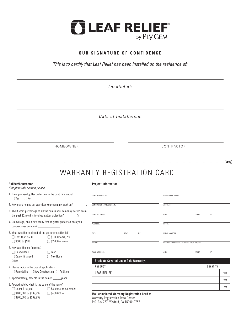

## **OUR SIGNATURE OF CONFIDENCE**

*This is to certify that Leaf Relief has been installed on the residence of:* 

*Located at:*

*Date of Installation:* 

HOMEOWNER CONTRACTOR

⋯⋯⋯⋯⋯<del>⋯</del>

## WARRANTY REGISTRATION CARD

#### **Builder/Contractor:**

*Complete this section please:*

#### **Project Information:**

| 1. Have you used gutter protection in the past 12 months?<br>$\bigcup$ Yes $\bigcap$ No                                                                                                                                                                                                                      |                                                                                                                       | COMPLETION DATE:                                                                          | HOMEOWNER NAME:                            |                |      |
|--------------------------------------------------------------------------------------------------------------------------------------------------------------------------------------------------------------------------------------------------------------------------------------------------------------|-----------------------------------------------------------------------------------------------------------------------|-------------------------------------------------------------------------------------------|--------------------------------------------|----------------|------|
|                                                                                                                                                                                                                                                                                                              | 2. How many homes per year does your company work on?                                                                 | <b>CONTRACTOR (BUILDER) NAME:</b>                                                         | ADDRESS:                                   |                |      |
|                                                                                                                                                                                                                                                                                                              | 3. About what percentage of all the homes your company worked on in<br>the past 12 months involved gutter protection? | <b>COMPANY NAME:</b>                                                                      | CITY:                                      | STATE:<br>ZIP: |      |
| company use on a $job?$ ________________.                                                                                                                                                                                                                                                                    | 4. On average, about how many feet of gutter protection does your                                                     | ADDRESS:                                                                                  | PHONE:                                     |                |      |
| 5. What was the total cost of the gutter protection job?<br>$\bigcap$ Less than \$500 $\,$                                                                                                                                                                                                                   | $\bigcirc$ \$1,000 to \$1,999                                                                                         | CITY.<br>STATE:<br>ZIP:                                                                   | <b>EMAIL ADDRESS:</b>                      |                |      |
| ◯ \$500 to \$999                                                                                                                                                                                                                                                                                             | $\bigcirc$ \$2,000 or more                                                                                            | PHONE:                                                                                    | PROJECT ADDRESS (IF DIFFERENT FROM ABOVE): |                |      |
| 6. How was the job financed?<br>$\bigcap$ Cash/Check<br>() Dealer financed<br>Other: the contract of the contract of the contract of the contract of the contract of the contract of the contract of the contract of the contract of the contract of the contract of the contract of the contract of the con | ( ) Loan<br>$\bigcup$ New Home                                                                                        | <b>EMAIL ADDRESS:</b><br><b>Products Covered Under This Warranty:</b>                     | CITY:                                      | STATE:<br>ZIP: |      |
| 7. Please indicate the type of application:                                                                                                                                                                                                                                                                  |                                                                                                                       | <b>PRODUCT</b>                                                                            |                                            | QUANTITY       |      |
| $\bigcirc$ Remodeling $\bigcirc$ New Construction $\bigcirc$ Addition                                                                                                                                                                                                                                        |                                                                                                                       | <b>LEAF RELIEF</b>                                                                        |                                            |                | Feet |
| 8. Approximately, how old is the home? _______ years.                                                                                                                                                                                                                                                        |                                                                                                                       |                                                                                           |                                            |                | Feet |
| 9. Approximately, what is the value of the home?<br>$\bigcap$ Under \$100,000<br>$\bigcirc$ \$300,000 to \$399,999<br>$\bigcap$ \$100,000 to \$199,999<br>$\bigcap$ \$400,000 +                                                                                                                              |                                                                                                                       |                                                                                           |                                            | Feet           |      |
| $\bigcirc$ \$200,000 to \$299,999                                                                                                                                                                                                                                                                            |                                                                                                                       | Mail completed Warranty Registration Card to:<br><b>Warranty Registration Data Center</b> |                                            |                |      |

P.O. Box 787, Wexford, PA 15090-0787